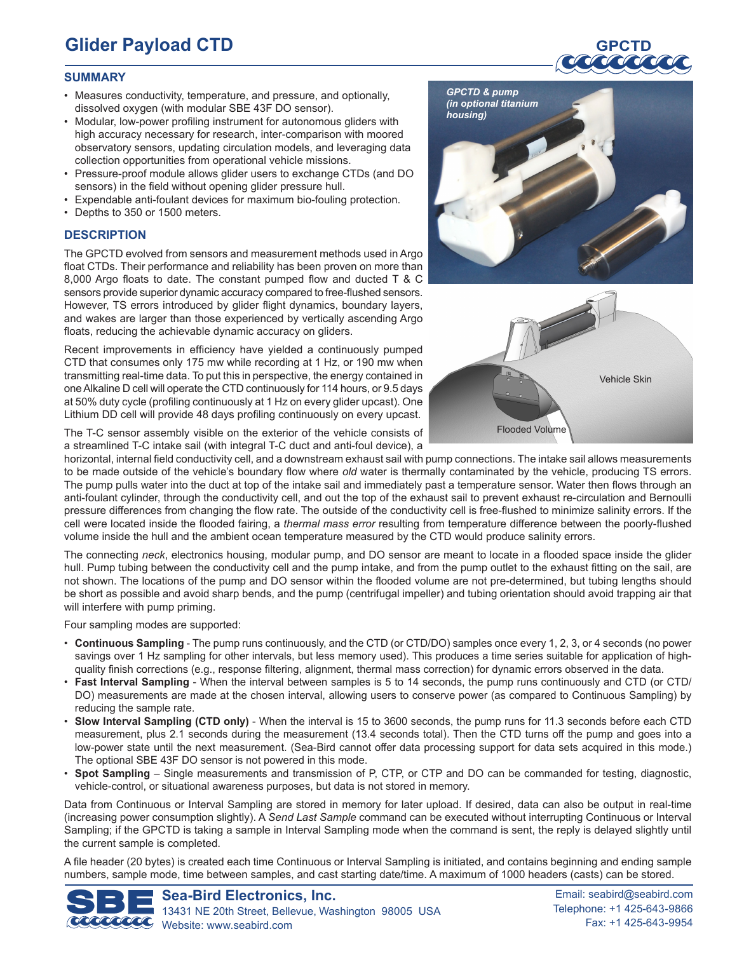# **Glider Payload CTD**

# **SUMMARY**

- Measures conductivity, temperature, and pressure, and optionally, dissolved oxygen (with modular SBE 43F DO sensor).
- Modular, low-power profiling instrument for autonomous gliders with high accuracy necessary for research, inter-comparison with moored observatory sensors, updating circulation models, and leveraging data collection opportunities from operational vehicle missions.
- Pressure-proof module allows glider users to exchange CTDs (and DO sensors) in the field without opening glider pressure hull.
- Expendable anti-foulant devices for maximum bio-fouling protection.
- • Depths to 350 or 1500 meters.

# **DESCRIPTION**

The GPCTD evolved from sensors and measurement methods used in Argo float CTDs. Their performance and reliability has been proven on more than 8,000 Argo floats to date. The constant pumped flow and ducted T & C sensors provide superior dynamic accuracy compared to free-flushed sensors. However, TS errors introduced by glider flight dynamics, boundary layers, and wakes are larger than those experienced by vertically ascending Argo floats, reducing the achievable dynamic accuracy on gliders.

Recent improvements in efficiency have yielded a continuously pumped CTD that consumes only 175 mw while recording at 1 Hz, or 190 mw when transmitting real-time data. To put this in perspective, the energy contained in oneAlkaline D cell will operate the CTD continuously for 114 hours, or 9.5 days at 50% duty cycle (profiling continuously at 1 Hz on every glider upcast). One Lithium DD cell will provide 48 days profiling continuously on every upcast.

The T-C sensor assembly visible on the exterior of the vehicle consists of a streamlined T-C intake sail (with integral T-C duct and anti-foul device), a





horizontal, internal field conductivity cell, and a downstream exhaust sail with pump connections. The intake sail allows measurements to be made outside of the vehicle's boundary flow where *old* water is thermally contaminated by the vehicle, producing TS errors. The pump pulls water into the duct at top of the intake sail and immediately past a temperature sensor. Water then flows through an anti-foulant cylinder, through the conductivity cell, and out the top of the exhaust sail to prevent exhaust re-circulation and Bernoulli pressure differences from changing the flow rate. The outside of the conductivity cell is free-flushed to minimize salinity errors. If the cell were located inside the flooded fairing, a *thermal mass error* resulting from temperature difference between the poorly-flushed volume inside the hull and the ambient ocean temperature measured by the CTD would produce salinity errors.

The connecting *neck*, electronics housing, modular pump, and DO sensor are meant to locate in a flooded space inside the glider hull. Pump tubing between the conductivity cell and the pump intake, and from the pump outlet to the exhaust fitting on the sail, are not shown. The locations of the pump and DO sensor within the flooded volume are not pre-determined, but tubing lengths should be short as possible and avoid sharp bends, and the pump (centrifugal impeller) and tubing orientation should avoid trapping air that will interfere with pump priming.

Four sampling modes are supported:

- • **Continuous Sampling** The pump runs continuously, and the CTD (or CTD/DO) samples once every 1, 2, 3, or 4 seconds (no power savings over 1 Hz sampling for other intervals, but less memory used). This produces a time series suitable for application of highquality finish corrections (e.g., response filtering, alignment, thermal mass correction) for dynamic errors observed in the data.
- • **Fast Interval Sampling** When the interval between samples is 5 to 14 seconds, the pump runs continuously and CTD (or CTD/ DO) measurements are made at the chosen interval, allowing users to conserve power (as compared to Continuous Sampling) by reducing the sample rate.
- **Slow Interval Sampling (CTD only)** When the interval is 15 to 3600 seconds, the pump runs for 11.3 seconds before each CTD measurement, plus 2.1 seconds during the measurement (13.4 seconds total). Then the CTD turns off the pump and goes into a low-power state until the next measurement. (Sea-Bird cannot offer data processing support for data sets acquired in this mode.) The optional SBE 43F DO sensor is not powered in this mode.
- **Spot Sampling** Single measurements and transmission of P, CTP, or CTP and DO can be commanded for testing, diagnostic, vehicle-control, or situational awareness purposes, but data is not stored in memory.

Data from Continuous or Interval Sampling are stored in memory for later upload. If desired, data can also be output in real-time (increasing power consumption slightly). A *Send Last Sample* command can be executed without interrupting Continuous or Interval Sampling; if the GPCTD is taking a sample in Interval Sampling mode when the command is sent, the reply is delayed slightly until the current sample is completed.

A file header (20 bytes) is created each time Continuous or Interval Sampling is initiated, and contains beginning and ending sample numbers, sample mode, time between samples, and cast starting date/time. A maximum of 1000 headers (casts) can be stored.